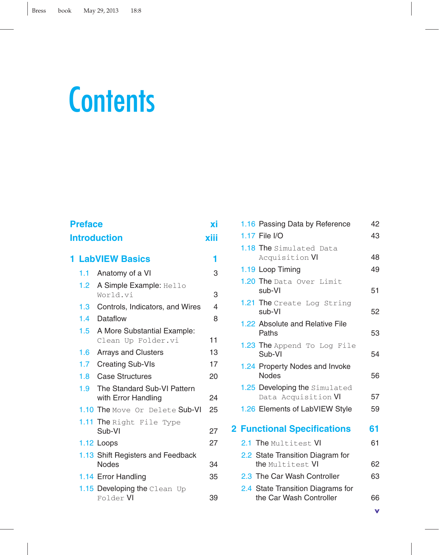# **Contents**

| <b>Preface</b> |                             |                                                    | ХĪ |
|----------------|-----------------------------|----------------------------------------------------|----|
|                | xiii<br><b>Introduction</b> |                                                    |    |
|                | <b>1 LabVIEW Basics</b>     |                                                    |    |
|                | 1.1                         | Anatomy of a VI                                    | 3  |
|                | 1.2 <sub>1</sub>            | A Simple Example: Hello<br>World.vi                | 3  |
|                | 1.3 <sub>1</sub>            | Controls, Indicators, and Wires                    | 4  |
|                | 1.4                         | Dataflow                                           | 8  |
|                | $1.5 -$                     | A More Substantial Example:<br>Clean Up Folder.vi  | 11 |
|                | 1.6 <sub>1</sub>            | <b>Arrays and Clusters</b>                         | 13 |
|                | 1.7 <sub>z</sub>            | <b>Creating Sub-VIs</b>                            | 17 |
|                | 1.8                         | <b>Case Structures</b>                             | 20 |
|                | $1.9-1$                     | The Standard Sub-VI Pattern<br>with Error Handling | 24 |
|                |                             | 1.10 The Move Or Delete Sub-VI                     | 25 |
|                |                             | 1.11 The Right File Type<br>Sub-VI                 | 27 |
|                |                             | 1.12 Loops                                         | 27 |
|                |                             | 1.13 Shift Registers and Feedback<br><b>Nodes</b>  | 34 |
|                |                             | 1.14 Error Handling                                | 35 |
|                |                             | 1.15 Developing the Clean Up<br>Folder VI          | 39 |

| 1.16 Passing Data by Reference                               | 42 |
|--------------------------------------------------------------|----|
| 1.17 File I/O                                                | 43 |
| 1.18 The Simulated Data<br>Acquisition VI                    | 48 |
| 1.19 Loop Timing                                             | 49 |
| 1.20 The Data Over Limit<br>sub-VI                           | 51 |
| 1.21 The Create Log String<br>sub-VI                         | 52 |
| 1.22 Absolute and Relative File<br>Paths                     | 53 |
| 1.23 The Append To Log File<br>Sub-VI                        | 54 |
| 1.24 Property Nodes and Invoke<br><b>Nodes</b>               | 56 |
| 1.25 Developing the Simulated<br>Data Acquisition VI         | 57 |
| 1.26 Elements of LabVIEW Style                               | 59 |
| <b>2 Functional Specifications</b>                           | 61 |
| 2.1 The Multitest VI                                         | 61 |
| 2.2 State Transition Diagram for                             |    |
| the Multitest VI                                             | 62 |
| 2.3 The Car Wash Controller                                  | 63 |
| 2.4 State Transition Diagrams for<br>the Car Wash Controller | 66 |
|                                                              |    |

**v**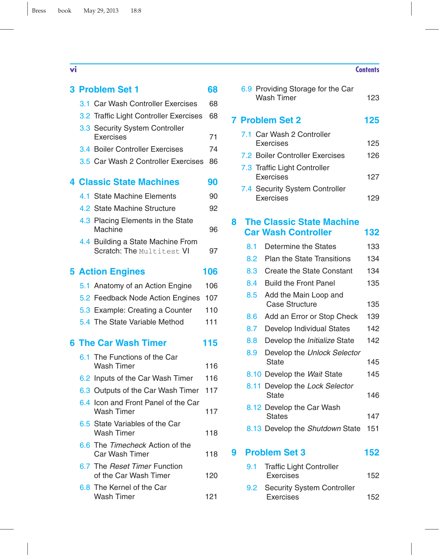|     | 3 Problem Set 1                                                | 68  |
|-----|----------------------------------------------------------------|-----|
|     | 3.1 Car Wash Controller Exercises                              | 68  |
|     | 3.2 Traffic Light Controller Exercises                         | 68  |
|     | 3.3 Security System Controller                                 |     |
|     | Exercises                                                      | 71  |
|     | 3.4 Boiler Controller Exercises                                | 74  |
|     | 3.5 Car Wash 2 Controller Exercises                            | 86  |
|     | <b>4 Classic State Machines</b>                                | 90  |
|     | 4.1 State Machine Elements                                     | 90  |
|     | 4.2 State Machine Structure                                    | 92  |
|     | 4.3 Placing Elements in the State<br>Machine                   | 96  |
|     | 4.4 Building a State Machine From<br>Scratch: The Multitest VI | 97  |
|     | <b>5 Action Engines</b>                                        | 106 |
|     | 5.1 Anatomy of an Action Engine                                | 106 |
|     | 5.2 Feedback Node Action Engines                               | 107 |
|     | 5.3 Example: Creating a Counter                                | 110 |
|     | 5.4 The State Variable Method                                  | 111 |
|     | 6 The Car Wash Timer                                           | 115 |
| 6.1 | The Functions of the Car                                       |     |
|     | <b>Wash Timer</b>                                              | 116 |
|     | 6.2 Inputs of the Car Wash Timer                               | 116 |
|     | 6.3 Outputs of the Car Wash Timer                              | 117 |
|     | 6.4 Icon and Front Panel of the Car<br><b>Wash Timer</b>       | 117 |
|     | 6.5 State Variables of the Car<br>Wash Timer                   | 118 |
|     | 6.6 The Timecheck Action of the<br>Car Wash Timer              | 118 |
|     | 6.7 The Reset Timer Function<br>of the Car Wash Timer          | 120 |
|     | 6.8 The Kernel of the Car<br><b>Wash Timer</b>                 | 121 |

## **vi Contents**

|                      | 125                                                                                                                                                                                                                        |
|----------------------|----------------------------------------------------------------------------------------------------------------------------------------------------------------------------------------------------------------------------|
| Exercises            | 125                                                                                                                                                                                                                        |
|                      | 126                                                                                                                                                                                                                        |
| Exercises            | 127                                                                                                                                                                                                                        |
| Exercises            | 129                                                                                                                                                                                                                        |
|                      |                                                                                                                                                                                                                            |
|                      | 132                                                                                                                                                                                                                        |
| Determine the States | 133                                                                                                                                                                                                                        |
|                      | <b>7 Problem Set 2</b><br>7.1 Car Wash 2 Controller<br>7.2 Boiler Controller Exercises<br>7.3 Traffic Light Controller<br>7.4 Security System Controller<br><b>The Classic State Machine</b><br><b>Car Wash Controller</b> |

6.9 Providing Storage for the Car

Wash Timer 123

|   | 8.2 | <b>Plan the State Transitions</b>              | 134 |
|---|-----|------------------------------------------------|-----|
|   | 8.3 | Create the State Constant                      | 134 |
|   | 8.4 | <b>Build the Front Panel</b>                   | 135 |
|   | 8.5 | Add the Main Loop and<br><b>Case Structure</b> | 135 |
|   | 8.6 | Add an Error or Stop Check                     | 139 |
|   | 8.7 | Develop Individual States                      | 142 |
|   | 8.8 | Develop the Initialize State                   | 142 |
|   | 8.9 | Develop the Unlock Selector<br>State           | 145 |
|   |     | 8.10 Develop the Wait State                    | 145 |
|   |     | 8.11 Develop the Lock Selector<br>State        | 146 |
|   |     | 8.12 Develop the Car Wash<br><b>States</b>     | 147 |
|   |     | 8.13 Develop the Shutdown State                | 151 |
| g |     | <b>Problem Set 3</b>                           | 152 |

| 9.1 | <b>Traffic Light Controller</b><br><b>Exercises</b> | 152 |
|-----|-----------------------------------------------------|-----|
|     | 9.2 Security System Controller<br><b>Exercises</b>  | 152 |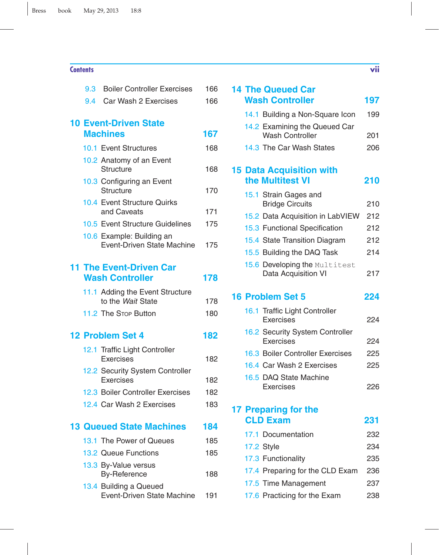## **Contents vii**

| 9.3 | <b>Boiler Controller Exercises</b>                             | 166 |
|-----|----------------------------------------------------------------|-----|
| 9.4 | Car Wash 2 Exercises                                           | 166 |
|     |                                                                |     |
|     | <b>10 Event-Driven State</b>                                   |     |
|     | <b>Machines</b>                                                | 167 |
|     | 10.1 Event Structures                                          | 168 |
|     | 10.2 Anatomy of an Event                                       |     |
|     | <b>Structure</b>                                               | 168 |
|     | 10.3 Configuring an Event                                      |     |
|     | <b>Structure</b>                                               | 170 |
|     | 10.4 Event Structure Quirks                                    |     |
|     | and Caveats                                                    | 171 |
|     | 10.5 Event Structure Guidelines                                | 175 |
|     | 10.6 Example: Building an<br><b>Event-Driven State Machine</b> | 175 |
|     |                                                                |     |
|     | <b>11 The Event-Driven Car</b>                                 |     |
|     | <b>Wash Controller</b>                                         | 178 |
|     |                                                                |     |
|     | 11.1 Adding the Event Structure<br>to the Wait State           | 178 |
|     | 11.2 The Stop Button                                           | 180 |
|     |                                                                |     |
|     | 12 Problem Set 4                                               | 182 |
|     | 12.1 Traffic Light Controller                                  |     |
|     | <b>Exercises</b>                                               | 182 |
|     | 12.2 Security System Controller                                |     |
|     | Exercises                                                      | 182 |
|     | 12.3 Boiler Controller Exercises                               | 182 |
|     | 12.4 Car Wash 2 Exercises                                      | 183 |
|     |                                                                |     |
|     | <b>13 Queued State Machines</b>                                | 184 |
|     | 13.1 The Power of Queues                                       | 185 |
|     | 13.2 Queue Functions                                           | 185 |
|     | 13.3 By-Value versus                                           |     |
|     | <b>By-Reference</b>                                            | 188 |
|     | 13.4 Building a Queued                                         |     |
|     | <b>Event-Driven State Machine</b>                              | 191 |
|     |                                                                |     |

|  | <b>14 The Queued Car</b>                                |     |
|--|---------------------------------------------------------|-----|
|  | <b>Wash Controller</b>                                  | 197 |
|  | 14.1 Building a Non-Square Icon                         | 199 |
|  | 14.2 Examining the Queued Car<br><b>Wash Controller</b> | 201 |
|  | 14.3 The Car Wash States                                | 206 |
|  | <b>15 Data Acquisition with</b><br>the Multitest VI     | 210 |
|  | 15.1 Strain Gages and                                   |     |
|  | <b>Bridge Circuits</b>                                  | 210 |
|  | 15.2 Data Acquisition in LabVIEW                        | 212 |
|  | 15.3 Functional Specification                           | 212 |
|  | 15.4 State Transition Diagram                           | 212 |
|  | 15.5 Building the DAQ Task                              | 214 |
|  | 15.6 Developing the Multitest<br>Data Acquisition VI    | 217 |
|  | <b>16 Problem Set 5</b>                                 | 224 |
|  | 16.1 Traffic Light Controller<br>Exercises              | 224 |
|  | 16.2 Security System Controller<br>Exercises            | 224 |
|  | 16.3 Boiler Controller Exercises                        | 225 |
|  | 16.4 Car Wash 2 Exercises                               | 225 |
|  | 16.5 DAQ State Machine<br>Exercises                     | 226 |
|  | 17 Preparing for the                                    |     |
|  | <b>CLD Exam</b>                                         | 231 |

17.1 Documentation 232 17.2 Style 234 17.3 Functionality 235 17.4 Preparing for the CLD Exam 236 17.5 Time Management 237 17.6 Practicing for the Exam 238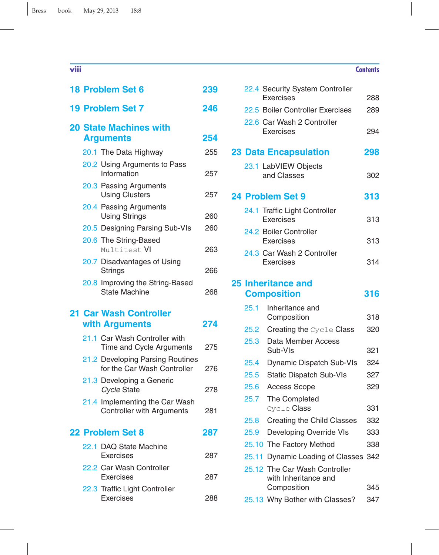# **viii Contents 18 Problem Set 6 239 19 Problem Set 7 246 20 State Machines with Arguments 254** 20.1 The Data Highway 255 20.2 Using Arguments to Pass Information 257 20.3 Passing Arguments Using Clusters 257 20.4 Passing Arguments Using Strings 260 20.5 Designing Parsing Sub-VIs 260 20.6 The String-Based Multitest VI 263 20.7 Disadvantages of Using Strings 266 20.8 Improving the String-Based State Machine 268 **21 Car Wash Controller with Arguments 274** 21.1 Car Wash Controller with Time and Cycle Arguments 275 21.2 Developing Parsing Routines for the Car Wash Controller 276 21.3 Developing a Generic *Cycle* State 278 21.4 Implementing the Car Wash Controller with Arguments 281 **22 Problem Set 8 287** 22.1 DAQ State Machine Exercises 287 22.2 Car Wash Controller Exercises 287 22.3 Traffic Light Controller

Exercises 288

# Exercises 288 22.5 Boiler Controller Exercises 289 22.6 Car Wash 2 Controller Exercises 294 **23 Data Encapsulation 298** 23.1 LabVIEW Objects and Classes 302 **24 Problem Set 9 313** 24.1 Traffic Light Controller Exercises 313 24.2 Boiler Controller Exercises 313 24.3 Car Wash 2 Controller Exercises 314

22.4 Security System Controller

# **25 Inheritance and Composition 316**

| 25.1  | Inheritance and                                       |     |
|-------|-------------------------------------------------------|-----|
|       | Composition                                           | 318 |
| 25.2  | <b>Creating the Cycle Class</b>                       | 320 |
| 25.3  | Data Member Access<br>Sub-VIs                         | 321 |
| 25.4  | Dynamic Dispatch Sub-VIs                              | 324 |
| 25.5  | <b>Static Dispatch Sub-VIs</b>                        | 327 |
| 25.6  | <b>Access Scope</b>                                   | 329 |
| 25.7  | The Completed                                         |     |
|       | Cycle <b>Class</b>                                    | 331 |
| 25.8  | <b>Creating the Child Classes</b>                     | 332 |
| 25.9  | Developing Override VIs                               | 333 |
|       | 25.10 The Factory Method                              | 338 |
| 25.11 | Dynamic Loading of Classes 342                        |     |
|       | 25.12 The Car Wash Controller<br>with Inheritance and |     |
|       | Composition                                           | 345 |
|       | 25.13 Why Bother with Classes?                        | 347 |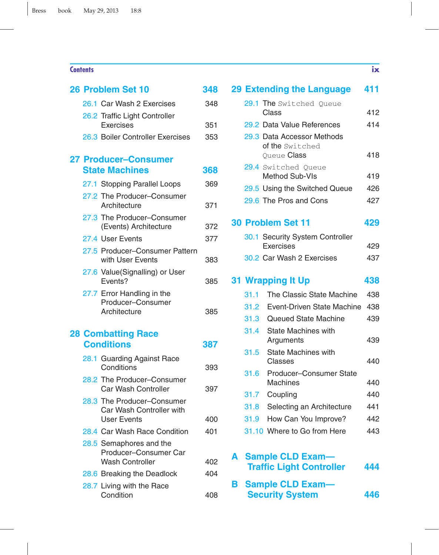## **Contents ix**

|  | 26 Problem Set 10                                                            | 348 |
|--|------------------------------------------------------------------------------|-----|
|  | 26.1 Car Wash 2 Exercises                                                    | 348 |
|  | 26.2 Traffic Light Controller                                                |     |
|  | <b>Exercises</b>                                                             | 351 |
|  | 26.3 Boiler Controller Exercises                                             | 353 |
|  | <b>27 Producer-Consumer</b>                                                  |     |
|  | <b>State Machines</b>                                                        | 368 |
|  | 27.1 Stopping Parallel Loops                                                 | 369 |
|  | 27.2 The Producer-Consumer<br>Architecture                                   | 371 |
|  | 27.3 The Producer-Consumer<br>(Events) Architecture                          | 372 |
|  | 27.4 User Events                                                             | 377 |
|  | 27.5 Producer-Consumer Pattern<br>with User Events                           | 383 |
|  | 27.6 Value(Signalling) or User<br>Events?                                    | 385 |
|  | 27.7 Error Handling in the<br>Producer-Consumer<br>Architecture              | 385 |
|  | <b>28 Combatting Race</b>                                                    |     |
|  | <b>Conditions</b>                                                            | 387 |
|  | 28.1 Guarding Against Race<br>Conditions                                     | 393 |
|  | 28.2 The Producer-Consumer<br>Car Wash Controller                            | 397 |
|  | 28.3 The Producer-Consumer<br>Car Wash Controller with<br><b>User Events</b> | 400 |
|  | 28.4 Car Wash Race Condition                                                 | 401 |
|  | 28.5 Semaphores and the<br>Producer-Consumer Car<br><b>Wash Controller</b>   | 402 |
|  | 28.6 Breaking the Deadlock                                                   | 404 |
|  | 28.7 Living with the Race                                                    |     |
|  | Condition                                                                    | 408 |
|  |                                                                              |     |

|   |      | <b>29 Extending the Language</b>        | 411 |
|---|------|-----------------------------------------|-----|
|   |      | 29.1 The Switched Queue<br>Class        | 412 |
|   |      | 29.2 Data Value References              | 414 |
|   |      | 29.3 Data Accessor Methods              |     |
|   |      | of the Switched                         |     |
|   |      | Queue Class                             | 418 |
|   |      | 29.4 Switched Queue                     |     |
|   |      | <b>Method Sub-VIs</b>                   | 419 |
|   |      | 29.5 Using the Switched Queue           | 426 |
|   |      | 29.6 The Pros and Cons                  | 427 |
|   |      | <b>30 Problem Set 11</b>                | 429 |
|   |      | 30.1 Security System Controller         |     |
|   |      | Exercises                               | 429 |
|   |      | 30.2 Car Wash 2 Exercises               | 437 |
|   |      | <b>31 Wrapping It Up</b>                | 438 |
|   | 31.1 | The Classic State Machine               | 438 |
|   | 31.2 | Event-Driven State Machine              | 438 |
|   | 31.3 | <b>Queued State Machine</b>             | 439 |
|   | 31.4 | <b>State Machines with</b><br>Arguments | 439 |
|   | 31.5 | <b>State Machines with</b><br>Classes   | 440 |
|   | 31.6 | Producer-Consumer State                 |     |
|   |      | Machines                                | 440 |
|   | 31.7 | Coupling                                | 440 |
|   | 31.8 | Selecting an Architecture               | 441 |
|   | 31.9 | How Can You Improve?                    | 442 |
|   |      | 31.10 Where to Go from Here             | 443 |
| А |      | <b>Sample CLD Exam-</b>                 |     |
|   |      | <b>Traffic Light Controller</b>         | 444 |
|   |      |                                         |     |

| <b>B</b> Sample CLD Exam- |     |
|---------------------------|-----|
| <b>Security System</b>    | 446 |